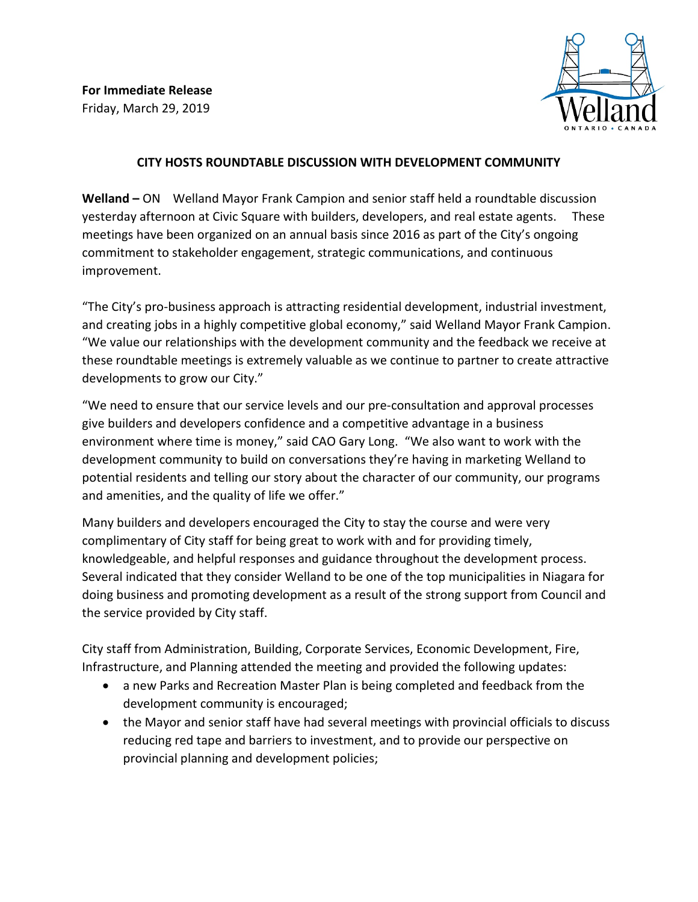

## **CITY HOSTS ROUNDTABLE DISCUSSION WITH DEVELOPMENT COMMUNITY**

**Welland –** ON Welland Mayor Frank Campion and senior staff held a roundtable discussion yesterday afternoon at Civic Square with builders, developers, and real estate agents. These meetings have been organized on an annual basis since 2016 as part of the City's ongoing commitment to stakeholder engagement, strategic communications, and continuous improvement.

"The City's pro-business approach is attracting residential development, industrial investment, and creating jobs in a highly competitive global economy," said Welland Mayor Frank Campion. "We value our relationships with the development community and the feedback we receive at these roundtable meetings is extremely valuable as we continue to partner to create attractive developments to grow our City."

"We need to ensure that our service levels and our pre-consultation and approval processes give builders and developers confidence and a competitive advantage in a business environment where time is money," said CAO Gary Long. "We also want to work with the development community to build on conversations they're having in marketing Welland to potential residents and telling our story about the character of our community, our programs and amenities, and the quality of life we offer."

Many builders and developers encouraged the City to stay the course and were very complimentary of City staff for being great to work with and for providing timely, knowledgeable, and helpful responses and guidance throughout the development process. Several indicated that they consider Welland to be one of the top municipalities in Niagara for doing business and promoting development as a result of the strong support from Council and the service provided by City staff.

City staff from Administration, Building, Corporate Services, Economic Development, Fire, Infrastructure, and Planning attended the meeting and provided the following updates:

- a new Parks and Recreation Master Plan is being completed and feedback from the development community is encouraged;
- the Mayor and senior staff have had several meetings with provincial officials to discuss reducing red tape and barriers to investment, and to provide our perspective on provincial planning and development policies;